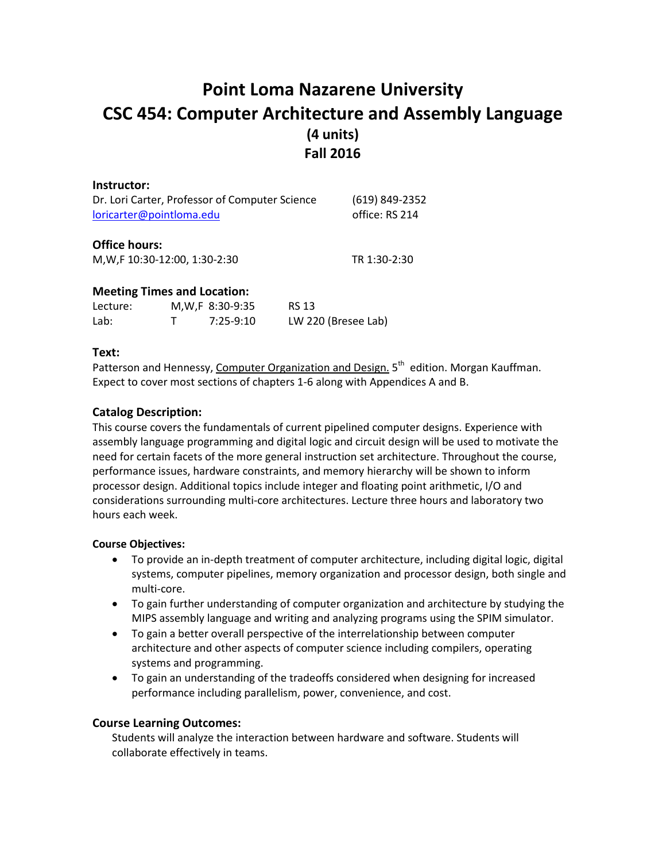# **Point Loma Nazarene University CSC 454: Computer Architecture and Assembly Language (4 units) Fall 2016**

| Instructor:                                    |                                    |                |              |
|------------------------------------------------|------------------------------------|----------------|--------------|
| Dr. Lori Carter, Professor of Computer Science | (619) 849-2352                     |                |              |
| loricarter@pointloma.edu                       |                                    | office: RS 214 |              |
| <b>Office hours:</b>                           |                                    |                |              |
| M, W, F 10:30-12:00, 1:30-2:30                 |                                    |                | TR 1:30-2:30 |
|                                                | <b>Meeting Times and Location:</b> |                |              |
| Lecture:                                       | M, W, F 8:30-9:35                  | RS 13          |              |

Lab: T 7:25-9:10 LW 220 (Bresee Lab)

## **Text:**

Patterson and Hennessy, Computer Organization and Design. 5<sup>th</sup> edition. Morgan Kauffman. Expect to cover most sections of chapters 1-6 along with Appendices A and B.

## **Catalog Description:**

This course covers the fundamentals of current pipelined computer designs. Experience with assembly language programming and digital logic and circuit design will be used to motivate the need for certain facets of the more general instruction set architecture. Throughout the course, performance issues, hardware constraints, and memory hierarchy will be shown to inform processor design. Additional topics include integer and floating point arithmetic, I/O and considerations surrounding multi-core architectures. Lecture three hours and laboratory two hours each week.

## **Course Objectives:**

- To provide an in-depth treatment of computer architecture, including digital logic, digital systems, computer pipelines, memory organization and processor design, both single and multi-core.
- To gain further understanding of computer organization and architecture by studying the MIPS assembly language and writing and analyzing programs using the SPIM simulator.
- To gain a better overall perspective of the interrelationship between computer architecture and other aspects of computer science including compilers, operating systems and programming.
- To gain an understanding of the tradeoffs considered when designing for increased performance including parallelism, power, convenience, and cost.

## **Course Learning Outcomes:**

Students will analyze the interaction between hardware and software. Students will collaborate effectively in teams.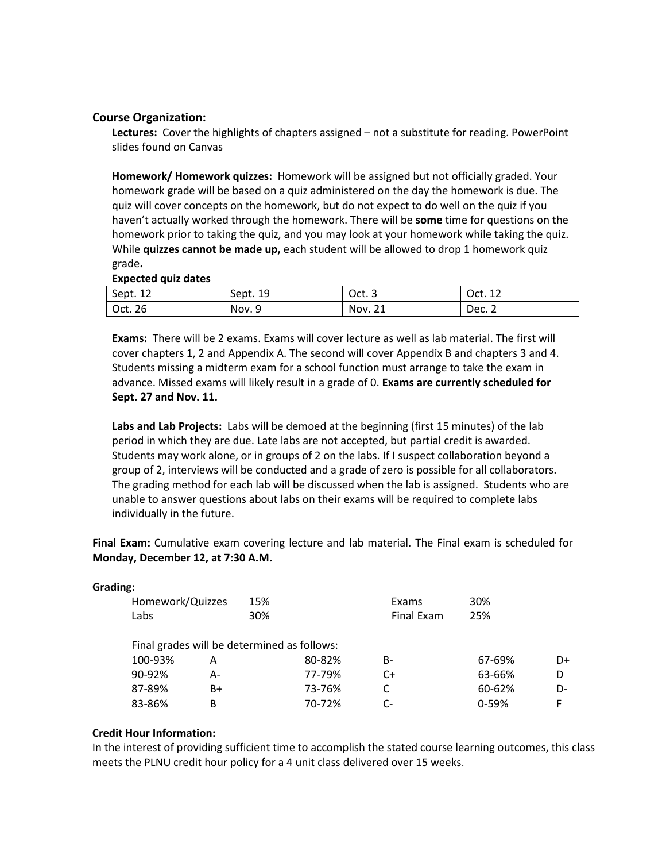## **Course Organization:**

**Lectures:** Cover the highlights of chapters assigned – not a substitute for reading. PowerPoint slides found on Canvas

**Homework/ Homework quizzes:** Homework will be assigned but not officially graded. Your homework grade will be based on a quiz administered on the day the homework is due. The quiz will cover concepts on the homework, but do not expect to do well on the quiz if you haven't actually worked through the homework. There will be **some** time for questions on the homework prior to taking the quiz, and you may look at your homework while taking the quiz. While **quizzes cannot be made up,** each student will be allowed to drop 1 homework quiz grade**.**

## **Expected quiz dates**

| Sept. 12 | Sept. 19 | Oct. 3  | Oct. 12 |
|----------|----------|---------|---------|
| Oct. 26  | Nov. 9   | Nov. 21 | Dec. 2  |

**Exams:** There will be 2 exams. Exams will cover lecture as well as lab material. The first will cover chapters 1, 2 and Appendix A. The second will cover Appendix B and chapters 3 and 4. Students missing a midterm exam for a school function must arrange to take the exam in advance. Missed exams will likely result in a grade of 0. **Exams are currently scheduled for Sept. 27 and Nov. 11.**

**Labs and Lab Projects:** Labs will be demoed at the beginning (first 15 minutes) of the lab period in which they are due. Late labs are not accepted, but partial credit is awarded. Students may work alone, or in groups of 2 on the labs. If I suspect collaboration beyond a group of 2, interviews will be conducted and a grade of zero is possible for all collaborators. The grading method for each lab will be discussed when the lab is assigned. Students who are unable to answer questions about labs on their exams will be required to complete labs individually in the future.

**Final Exam:** Cumulative exam covering lecture and lab material. The Final exam is scheduled for **Monday, December 12, at 7:30 A.M.**

| Grading: |                                             |    |     |        |            |           |    |
|----------|---------------------------------------------|----|-----|--------|------------|-----------|----|
|          | Homework/Quizzes                            |    | 15% |        | Exams      | 30%       |    |
|          | Labs                                        |    | 30% |        | Final Exam | 25%       |    |
|          | Final grades will be determined as follows: |    |     |        |            |           |    |
|          | 100-93%                                     | Α  |     | 80-82% | B-         | 67-69%    | D+ |
|          | 90-92%                                      | А- |     | 77-79% | C+         | 63-66%    | D  |
|          | 87-89%                                      | B+ |     | 73-76% |            | 60-62%    | D- |
|          | 83-86%                                      | B  |     | 70-72% | C-         | $0 - 59%$ | F. |

## **Credit Hour Information:**

In the interest of providing sufficient time to accomplish the stated course learning outcomes, this class meets the PLNU credit hour policy for a 4 unit class delivered over 15 weeks.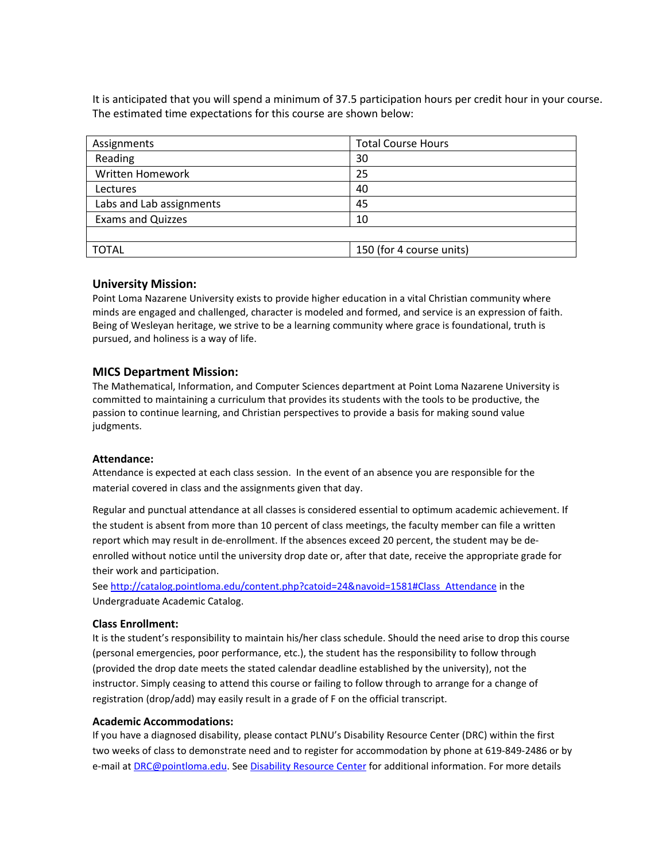It is anticipated that you will spend a minimum of 37.5 participation hours per credit hour in your course. The estimated time expectations for this course are shown below:

| Assignments              | <b>Total Course Hours</b> |  |
|--------------------------|---------------------------|--|
| Reading                  | 30                        |  |
| Written Homework         | 25                        |  |
| Lectures                 | 40                        |  |
| Labs and Lab assignments | 45                        |  |
| <b>Exams and Quizzes</b> | 10                        |  |
|                          |                           |  |
| <b>TOTAL</b>             | 150 (for 4 course units)  |  |

### **University Mission:**

Point Loma Nazarene University exists to provide higher education in a vital Christian community where minds are engaged and challenged, character is modeled and formed, and service is an expression of faith. Being of Wesleyan heritage, we strive to be a learning community where grace is foundational, truth is pursued, and holiness is a way of life.

### **MICS Department Mission:**

The Mathematical, Information, and Computer Sciences department at Point Loma Nazarene University is committed to maintaining a curriculum that provides its students with the tools to be productive, the passion to continue learning, and Christian perspectives to provide a basis for making sound value judgments.

#### **Attendance:**

Attendance is expected at each class session. In the event of an absence you are responsible for the material covered in class and the assignments given that day.

Regular and punctual attendance at all classes is considered essential to optimum academic achievement. If the student is absent from more than 10 percent of class meetings, the faculty member can file a written report which may result in de-enrollment. If the absences exceed 20 percent, the student may be deenrolled without notice until the university drop date or, after that date, receive the appropriate grade for their work and participation.

See [http://catalog.pointloma.edu/content.php?catoid=24&navoid=1581#Class\\_Attendance](http://catalog.pointloma.edu/content.php?catoid=24&navoid=1581#Class_Attendance) in the Undergraduate Academic Catalog.

#### **Class Enrollment:**

It is the student's responsibility to maintain his/her class schedule. Should the need arise to drop this course (personal emergencies, poor performance, etc.), the student has the responsibility to follow through (provided the drop date meets the stated calendar deadline established by the university), not the instructor. Simply ceasing to attend this course or failing to follow through to arrange for a change of registration (drop/add) may easily result in a grade of F on the official transcript.

#### **Academic Accommodations:**

If you have a diagnosed disability, please contact PLNU's Disability Resource Center (DRC) within the first two weeks of class to demonstrate need and to register for accommodation by phone at 619-849-2486 or by e-mail at **DRC@pointloma.edu. Se[e Disability Resource Center](http://www.pointloma.edu/experience/offices/administrative-offices/academic-advising-office/disability-resource-center)** for additional information. For more details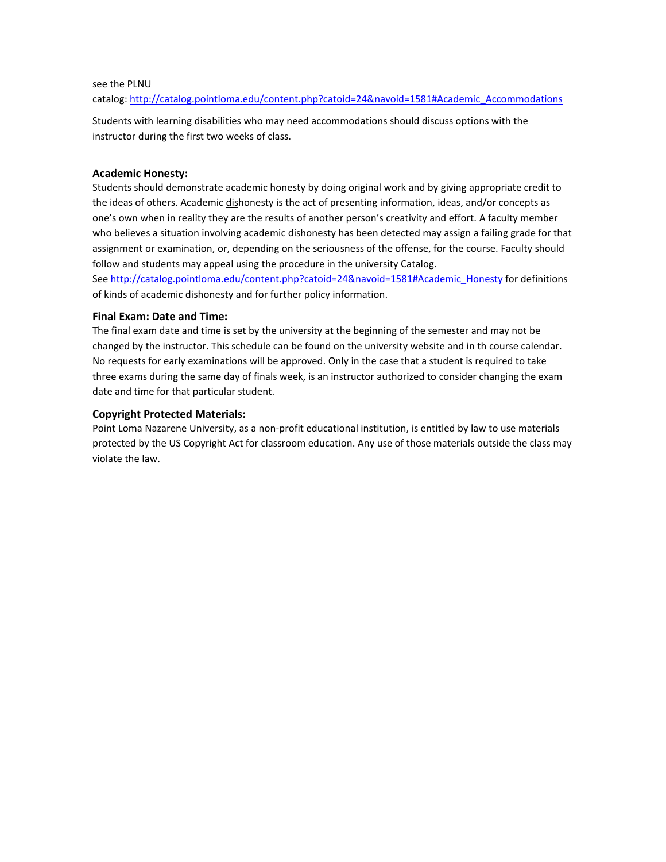## see the PLNU

catalog: http://catalog.pointloma.edu/content.php?catoid=24&navoid=1581#Academic\_Accommodations

Students with learning disabilities who may need accommodations should discuss options with the instructor during the first two weeks of class.

### **Academic Honesty:**

Students should demonstrate academic honesty by doing original work and by giving appropriate credit to the ideas of others. Academic dishonesty is the act of presenting information, ideas, and/or concepts as one's own when in reality they are the results of another person's creativity and effort. A faculty member who believes a situation involving academic dishonesty has been detected may assign a failing grade for that assignment or examination, or, depending on the seriousness of the offense, for the course. Faculty should follow and students may appeal using the procedure in the university Catalog.

See [http://catalog.pointloma.edu/content.php?catoid=24&navoid=1581#Academic\\_Honesty](http://catalog.pointloma.edu/content.php?catoid=24&navoid=1581#Academic_Honesty) for definitions of kinds of academic dishonesty and for further policy information.

### **Final Exam: Date and Time:**

The final exam date and time is set by the university at the beginning of the semester and may not be changed by the instructor. This schedule can be found on the university website and in th course calendar. No requests for early examinations will be approved. Only in the case that a student is required to take three exams during the same day of finals week, is an instructor authorized to consider changing the exam date and time for that particular student.

### **Copyright Protected Materials:**

Point Loma Nazarene University, as a non-profit educational institution, is entitled by law to use materials protected by the US Copyright Act for classroom education. Any use of those materials outside the class may violate the law.